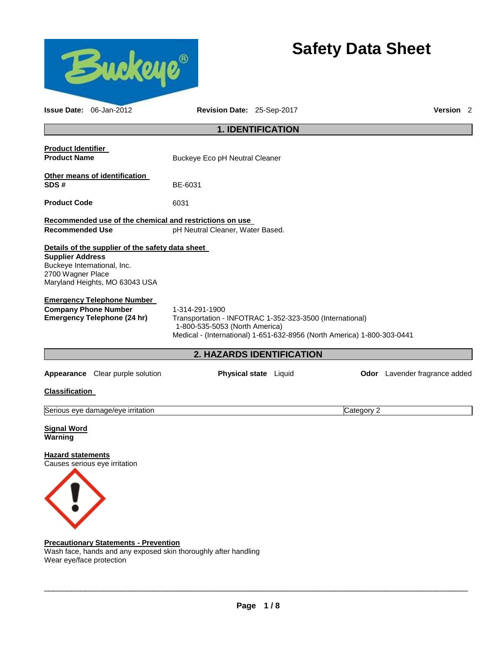

Wash face, hands and any exposed skin thoroughly after handling Wear eye/face protection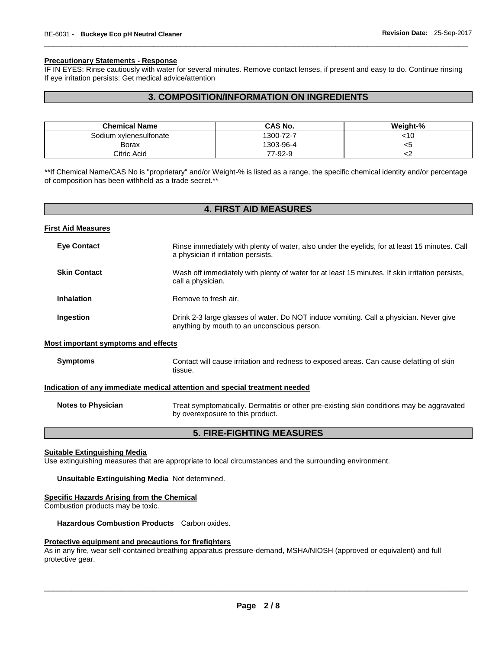#### **Precautionary Statements - Response**

IF IN EYES: Rinse cautiously with water for several minutes. Remove contact lenses, if present and easy to do. Continue rinsing If eye irritation persists: Get medical advice/attention

\_\_\_\_\_\_\_\_\_\_\_\_\_\_\_\_\_\_\_\_\_\_\_\_\_\_\_\_\_\_\_\_\_\_\_\_\_\_\_\_\_\_\_\_\_\_\_\_\_\_\_\_\_\_\_\_\_\_\_\_\_\_\_\_\_\_\_\_\_\_\_\_\_\_\_\_\_\_\_\_\_\_\_\_\_\_\_\_\_\_\_\_\_

# **3. COMPOSITION/INFORMATION ON INGREDIENTS**

| <b>Chemical Name</b>   | CAS No.   | Weight-% |
|------------------------|-----------|----------|
| Sodium xylenesulfonate | 1300-72-7 | 10ء      |
| Borax                  | 1303-96-4 | LL.      |
| Citric Acid            | 77-92-9   |          |

\*\*If Chemical Name/CAS No is "proprietary" and/or Weight-% is listed as a range, the specific chemical identity and/or percentage of composition has been withheld as a trade secret.\*\*

| <b>4. FIRST AID MEASURES</b>                                               |                                                                                                                                       |  |
|----------------------------------------------------------------------------|---------------------------------------------------------------------------------------------------------------------------------------|--|
| <u>First Aid Measures</u>                                                  |                                                                                                                                       |  |
| <b>Eye Contact</b>                                                         | Rinse immediately with plenty of water, also under the eyelids, for at least 15 minutes. Call<br>a physician if irritation persists.  |  |
| <b>Skin Contact</b>                                                        | Wash off immediately with plenty of water for at least 15 minutes. If skin irritation persists,<br>call a physician.                  |  |
| <b>Inhalation</b>                                                          | Remove to fresh air.                                                                                                                  |  |
| Ingestion                                                                  | Drink 2-3 large glasses of water. Do NOT induce vomiting. Call a physician. Never give<br>anything by mouth to an unconscious person. |  |
| <b>Most important symptoms and effects</b>                                 |                                                                                                                                       |  |
| <b>Symptoms</b>                                                            | Contact will cause irritation and redness to exposed areas. Can cause defatting of skin<br>tissue.                                    |  |
| Indication of any immediate medical attention and special treatment needed |                                                                                                                                       |  |
| <b>Notes to Physician</b>                                                  | Treat symptomatically. Dermatitis or other pre-existing skin conditions may be aggravated<br>by overexposure to this product.         |  |
| <b>5. FIRE-FIGHTING MEASURES</b>                                           |                                                                                                                                       |  |

**Suitable Extinguishing Media**

Use extinguishing measures that are appropriate to local circumstances and the surrounding environment.

**Unsuitable Extinguishing Media** Not determined.

# **Specific Hazards Arising from the Chemical**

Combustion products may be toxic.

**Hazardous Combustion Products** Carbon oxides.

#### **Protective equipment and precautions for firefighters**

As in any fire, wear self-contained breathing apparatus pressure-demand, MSHA/NIOSH (approved or equivalent) and full protective gear.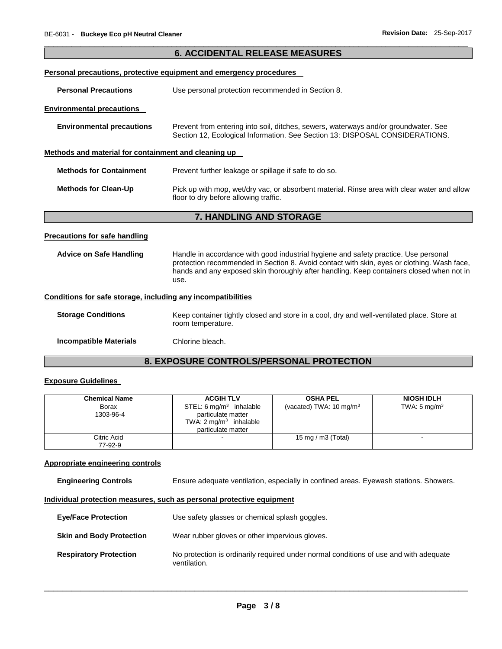|                                                              | <b>6. ACCIDENTAL RELEASE MEASURES</b>                                                                                                                                                                                                                                                 |
|--------------------------------------------------------------|---------------------------------------------------------------------------------------------------------------------------------------------------------------------------------------------------------------------------------------------------------------------------------------|
|                                                              | <b>Personal precautions, protective equipment and emergency procedures</b>                                                                                                                                                                                                            |
| <b>Personal Precautions</b>                                  | Use personal protection recommended in Section 8.                                                                                                                                                                                                                                     |
| <b>Environmental precautions</b>                             |                                                                                                                                                                                                                                                                                       |
| <b>Environmental precautions</b>                             | Prevent from entering into soil, ditches, sewers, waterways and/or groundwater. See<br>Section 12, Ecological Information. See Section 13: DISPOSAL CONSIDERATIONS.                                                                                                                   |
| Methods and material for containment and cleaning up         |                                                                                                                                                                                                                                                                                       |
| <b>Methods for Containment</b>                               | Prevent further leakage or spillage if safe to do so.                                                                                                                                                                                                                                 |
| <b>Methods for Clean-Up</b>                                  | Pick up with mop, wet/dry vac, or absorbent material. Rinse area with clear water and allow<br>floor to dry before allowing traffic.                                                                                                                                                  |
|                                                              | 7. HANDLING AND STORAGE                                                                                                                                                                                                                                                               |
| <b>Precautions for safe handling</b>                         |                                                                                                                                                                                                                                                                                       |
| <b>Advice on Safe Handling</b>                               | Handle in accordance with good industrial hygiene and safety practice. Use personal<br>protection recommended in Section 8. Avoid contact with skin, eyes or clothing. Wash face,<br>hands and any exposed skin thoroughly after handling. Keep containers closed when not in<br>use. |
| Conditions for safe storage, including any incompatibilities |                                                                                                                                                                                                                                                                                       |
| <b>Storage Conditions</b>                                    | Keep container tightly closed and store in a cool, dry and well-ventilated place. Store at<br>room temperature.                                                                                                                                                                       |
| <b>Incompatible Materials</b>                                | Chlorine bleach.                                                                                                                                                                                                                                                                      |

# **8. EXPOSURE CONTROLS/PERSONAL PROTECTION**

# **Exposure Guidelines**

| <b>Chemical Name</b>   | <b>ACGIH TLV</b>                                                                                                    | <b>OSHA PEL</b>                    | <b>NIOSH IDLH</b>       |
|------------------------|---------------------------------------------------------------------------------------------------------------------|------------------------------------|-------------------------|
| Borax<br>1303-96-4     | STEL: $6 \text{ mg/m}^3$ inhalable<br>particulate matter<br>TWA: $2 \text{ mg/m}^3$ inhalable<br>particulate matter | (vacated) TWA: $10 \text{ mg/m}^3$ | TWA: $5 \text{ mg/m}^3$ |
| Citric Acid<br>77-92-9 |                                                                                                                     | 15 mg / m3 (Total)                 |                         |

## **Appropriate engineering controls**

**Engineering Controls** Ensure adequate ventilation, especially in confined areas. Eyewash stations. Showers.

# **Individual protection measures, such as personal protective equipment**

| <b>Eye/Face Protection</b>      | Use safety glasses or chemical splash goggles.                                                        |
|---------------------------------|-------------------------------------------------------------------------------------------------------|
| <b>Skin and Body Protection</b> | Wear rubber gloves or other impervious gloves.                                                        |
| <b>Respiratory Protection</b>   | No protection is ordinarily required under normal conditions of use and with adequate<br>ventilation. |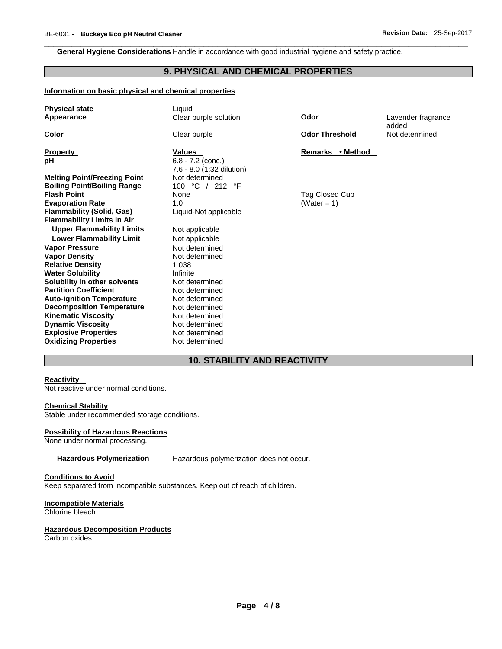**General Hygiene Considerations** Handle in accordance with good industrial hygiene and safety practice.

# **9. PHYSICAL AND CHEMICAL PROPERTIES**

\_\_\_\_\_\_\_\_\_\_\_\_\_\_\_\_\_\_\_\_\_\_\_\_\_\_\_\_\_\_\_\_\_\_\_\_\_\_\_\_\_\_\_\_\_\_\_\_\_\_\_\_\_\_\_\_\_\_\_\_\_\_\_\_\_\_\_\_\_\_\_\_\_\_\_\_\_\_\_\_\_\_\_\_\_\_\_\_\_\_\_\_\_

#### **Information on basic physical and chemical properties**

| <b>Physical state</b><br>Appearance                                                | Liquid<br>Clear purple solution                                   | Odor                          | Lavender fragrance<br>added |
|------------------------------------------------------------------------------------|-------------------------------------------------------------------|-------------------------------|-----------------------------|
| Color                                                                              | Clear purple                                                      | <b>Odor Threshold</b>         | Not determined              |
| <b>Property</b><br>рH                                                              | <b>Values</b><br>$6.8 - 7.2$ (conc.)<br>7.6 - 8.0 (1:32 dilution) | Remarks • Method              |                             |
| <b>Melting Point/Freezing Point</b><br><b>Boiling Point/Boiling Range</b>          | Not determined<br>100 °C / 212 °F                                 |                               |                             |
| <b>Flash Point</b><br><b>Evaporation Rate</b>                                      | None<br>1.0                                                       | Tag Closed Cup<br>(Water = 1) |                             |
| <b>Flammability (Solid, Gas)</b><br><b>Flammability Limits in Air</b>              | Liquid-Not applicable                                             |                               |                             |
| <b>Upper Flammability Limits</b><br><b>Lower Flammability Limit</b>                | Not applicable<br>Not applicable                                  |                               |                             |
| <b>Vapor Pressure</b><br><b>Vapor Density</b>                                      | Not determined<br>Not determined                                  |                               |                             |
| <b>Relative Density</b><br><b>Water Solubility</b><br>Solubility in other solvents | 1.038<br>Infinite<br>Not determined                               |                               |                             |
| <b>Partition Coefficient</b><br><b>Auto-ignition Temperature</b>                   | Not determined<br>Not determined                                  |                               |                             |
| <b>Decomposition Temperature</b><br><b>Kinematic Viscosity</b>                     | Not determined<br>Not determined                                  |                               |                             |
| <b>Dynamic Viscosity</b><br><b>Explosive Properties</b>                            | Not determined<br>Not determined                                  |                               |                             |
| <b>Oxidizing Properties</b>                                                        | Not determined                                                    |                               |                             |

# **10. STABILITY AND REACTIVITY**

#### **Reactivity**

Not reactive under normal conditions.

#### **Chemical Stability**

Stable under recommended storage conditions.

#### **Possibility of Hazardous Reactions**

None under normal processing.

**Hazardous Polymerization** Hazardous polymerization does not occur.

#### **Conditions to Avoid**

Keep separated from incompatible substances. Keep out of reach of children.

#### **Incompatible Materials**

Chlorine bleach.

# **Hazardous Decomposition Products**

Carbon oxides.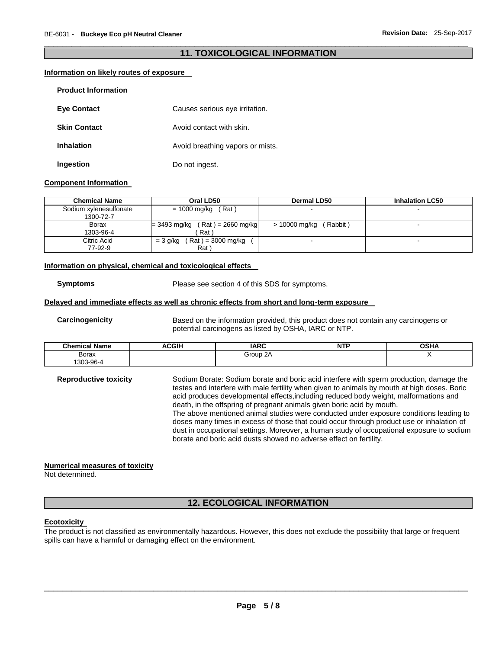## \_\_\_\_\_\_\_\_\_\_\_\_\_\_\_\_\_\_\_\_\_\_\_\_\_\_\_\_\_\_\_\_\_\_\_\_\_\_\_\_\_\_\_\_\_\_\_\_\_\_\_\_\_\_\_\_\_\_\_\_\_\_\_\_\_\_\_\_\_\_\_\_\_\_\_\_\_\_\_\_\_\_\_\_\_\_\_\_\_\_\_\_\_ **11. TOXICOLOGICAL INFORMATION**

#### **Information on likely routes of exposure**

| <b>Product Information</b> |                                  |
|----------------------------|----------------------------------|
| <b>Eve Contact</b>         | Causes serious eye irritation.   |
| <b>Skin Contact</b>        | Avoid contact with skin.         |
| <b>Inhalation</b>          | Avoid breathing vapors or mists. |
| Ingestion                  | Do not ingest.                   |

#### **Component Information**

| <b>Chemical Name</b>   | Oral LD50                            | <b>Dermal LD50</b>        | <b>Inhalation LC50</b> |
|------------------------|--------------------------------------|---------------------------|------------------------|
| Sodium xylenesulfonate | (Rat)<br>= 1000 mg/kg                |                           |                        |
| 1300-72-7              |                                      |                           |                        |
| Borax                  | (Rat) = 2660 mg/kg<br>$= 3493$ mg/kg | (Rabbit)<br>> 10000 mg/kg |                        |
| 1303-96-4              | Rat                                  |                           |                        |
| Citric Acid            | ( Rat ) = 3000 mg/kg<br>$=$ 3 g/kg   |                           |                        |
| 77-92-9                | Rat)                                 |                           |                        |

#### **Information on physical, chemical and toxicological effects**

**Symptoms** Please see section 4 of this SDS for symptoms.

#### **Delayed and immediate effects as well as chronic effects from short and long-term exposure**

**Carcinogenicity** Based on the information provided, this product does not contain any carcinogens or potential carcinogens as listed by OSHA, IARC or NTP.

| <b>Chemical Name</b> | <b>ACGIH</b> | <b>IARC</b>      | $-$<br>NH | <b>OSHA</b> |
|----------------------|--------------|------------------|-----------|-------------|
| Borax                |              | Group 2A<br>$ -$ |           |             |
| 303-96-4             |              |                  |           |             |

**Reproductive toxicity** Sodium Borate: Sodium borate and boric acid interfere with sperm production, damage the testes and interfere with male fertility when given to animals by mouth at high doses. Boric acid produces developmental effects,including reduced body weight, malformations and death, in the offspring of pregnant animals given boric acid by mouth. The above mentioned animal studies were conducted under exposure conditions leading to doses many times in excess of those that could occur through product use or inhalation of dust in occupational settings. Moreover, a human study of occupational exposure to sodium borate and boric acid dusts showed no adverse effect on fertility.

#### **Numerical measures of toxicity**

Not determined.

# **12. ECOLOGICAL INFORMATION**

#### **Ecotoxicity**

The product is not classified as environmentally hazardous. However, this does not exclude the possibility that large or frequent spills can have a harmful or damaging effect on the environment.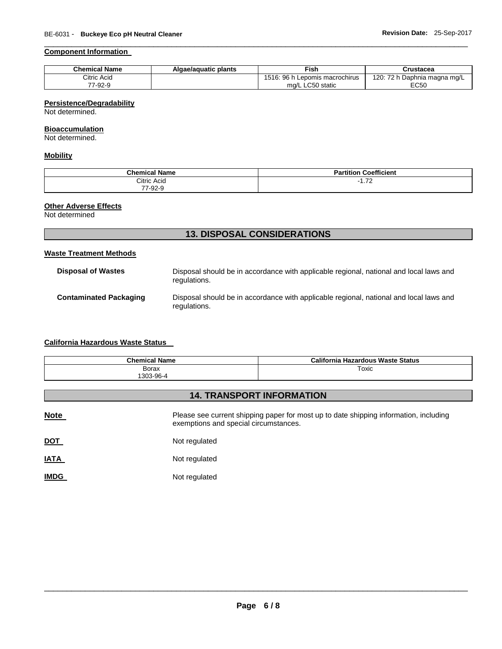# **Component Information**

| <b>Chemical Name</b> | Algae/aguatic plants | ™ish                              | Crustacea                    |
|----------------------|----------------------|-----------------------------------|------------------------------|
| Citric Acid          |                      | 1516: 96 h<br>Lepomis macrochirus | 120: 72 h Daphnia magna mg/L |
| 77-92-9              |                      | $\sim$ 50 static<br>ma/L LC50     | <b>EC50</b>                  |

\_\_\_\_\_\_\_\_\_\_\_\_\_\_\_\_\_\_\_\_\_\_\_\_\_\_\_\_\_\_\_\_\_\_\_\_\_\_\_\_\_\_\_\_\_\_\_\_\_\_\_\_\_\_\_\_\_\_\_\_\_\_\_\_\_\_\_\_\_\_\_\_\_\_\_\_\_\_\_\_\_\_\_\_\_\_\_\_\_\_\_\_\_

## **Persistence/Degradability**

Not determined.

#### **Bioaccumulation**

Not determined.

#### **Mobility**

| <b>Chemical Name</b> | <b>Coefficient</b><br>tition.<br>ּי |
|----------------------|-------------------------------------|
| Citric Acid<br>.     | $\overline{z}$<br>$\sim$<br>1.12    |
| $\sim$<br>--<br>∟ت∽' |                                     |

# **Other Adverse Effects**

Not determined

# **13. DISPOSAL CONSIDERATIONS**

## **Waste Treatment Methods**

| <b>Disposal of Wastes</b>     | Disposal should be in accordance with applicable regional, national and local laws and<br>regulations. |
|-------------------------------|--------------------------------------------------------------------------------------------------------|
| <b>Contaminated Packaging</b> | Disposal should be in accordance with applicable regional, national and local laws and<br>regulations. |

# **California Hazardous Waste Status**

| <b>Chemical Name</b> | California Hazardous Waste Status |
|----------------------|-----------------------------------|
| Borax                | Toxic                             |
| 1303-96-4            |                                   |

# **14. TRANSPORT INFORMATION**

| <b>Note</b> | Please see current shipping paper for most up to date shipping information, including<br>exemptions and special circumstances. |
|-------------|--------------------------------------------------------------------------------------------------------------------------------|
| <b>DOT</b>  | Not regulated                                                                                                                  |
| <u>IATA</u> | Not regulated                                                                                                                  |
| <b>IMDG</b> | Not regulated                                                                                                                  |
|             |                                                                                                                                |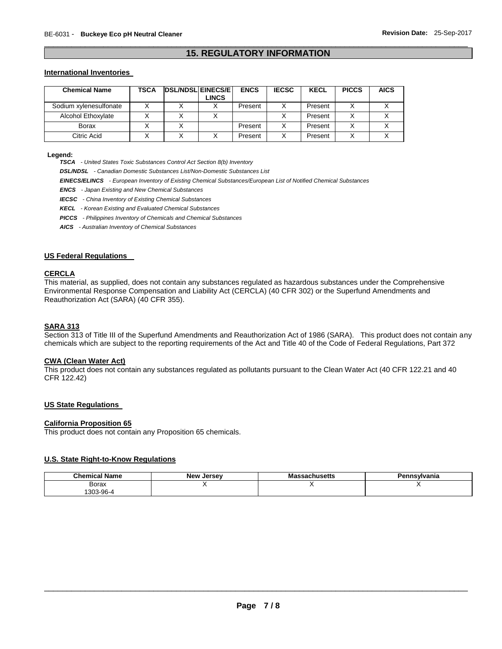# \_\_\_\_\_\_\_\_\_\_\_\_\_\_\_\_\_\_\_\_\_\_\_\_\_\_\_\_\_\_\_\_\_\_\_\_\_\_\_\_\_\_\_\_\_\_\_\_\_\_\_\_\_\_\_\_\_\_\_\_\_\_\_\_\_\_\_\_\_\_\_\_\_\_\_\_\_\_\_\_\_\_\_\_\_\_\_\_\_\_\_\_\_ **15. REGULATORY INFORMATION**

#### **International Inventories**

| <b>Chemical Name</b>   | TSCA | <b>DSL/NDSL EINECS/E</b> | <b>LINCS</b> | <b>ENCS</b> | <b>IECSC</b> | <b>KECL</b> | <b>PICCS</b> | <b>AICS</b> |
|------------------------|------|--------------------------|--------------|-------------|--------------|-------------|--------------|-------------|
| Sodium xylenesulfonate |      |                          |              | Present     |              | Present     |              |             |
| Alcohol Ethoxylate     |      |                          |              |             |              | Present     |              |             |
| Borax                  |      |                          |              | Present     |              | Present     |              |             |
| Citric Acid            |      |                          |              | Present     |              | Present     |              |             |

**Legend:** 

*TSCA - United States Toxic Substances Control Act Section 8(b) Inventory* 

*DSL/NDSL - Canadian Domestic Substances List/Non-Domestic Substances List* 

*EINECS/ELINCS - European Inventory of Existing Chemical Substances/European List of Notified Chemical Substances* 

*ENCS - Japan Existing and New Chemical Substances* 

*IECSC - China Inventory of Existing Chemical Substances* 

*KECL - Korean Existing and Evaluated Chemical Substances* 

*PICCS - Philippines Inventory of Chemicals and Chemical Substances* 

*AICS - Australian Inventory of Chemical Substances* 

#### **US Federal Regulations**

#### **CERCLA**

This material, as supplied, does not contain any substances regulated as hazardous substances under the Comprehensive Environmental Response Compensation and Liability Act (CERCLA) (40 CFR 302) or the Superfund Amendments and Reauthorization Act (SARA) (40 CFR 355).

#### **SARA 313**

Section 313 of Title III of the Superfund Amendments and Reauthorization Act of 1986 (SARA). This product does not contain any chemicals which are subject to the reporting requirements of the Act and Title 40 of the Code of Federal Regulations, Part 372

#### **CWA (Clean Water Act)**

This product does not contain any substances regulated as pollutants pursuant to the Clean Water Act (40 CFR 122.21 and 40 CFR 122.42)

#### **US State Regulations**

#### **California Proposition 65**

This product does not contain any Proposition 65 chemicals.

# **U.S. State Right-to-Know Regulations**

| <b>Name</b><br>Chemical | <b>Jerse</b> v<br><b>New</b> | . .<br>∣setts | Pennsvlvania |
|-------------------------|------------------------------|---------------|--------------|
| Borax                   |                              |               |              |
| 303-96-4                |                              |               |              |